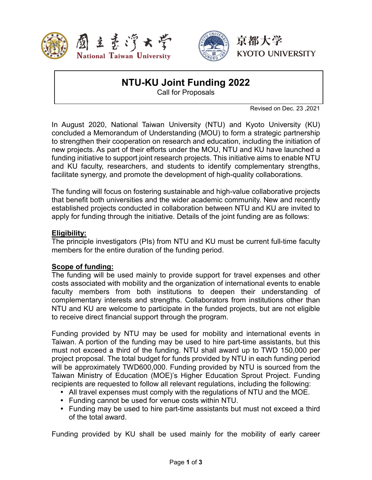



# **NTU-KU Joint Funding 2022**

Call for Proposals

Revised on Dec. 23 ,2021

In August 2020, National Taiwan University (NTU) and Kyoto University (KU) concluded a Memorandum of Understanding (MOU) to form a strategic partnership to strengthen their cooperation on research and education, including the initiation of new projects. As part of their efforts under the MOU, NTU and KU have launched a funding initiative to support joint research projects. This initiative aims to enable NTU and KU faculty, researchers, and students to identify complementary strengths, facilitate synergy, and promote the development of high-quality collaborations.

The funding will focus on fostering sustainable and high-value collaborative projects that benefit both universities and the wider academic community. New and recently established projects conducted in collaboration between NTU and KU are invited to apply for funding through the initiative. Details of the joint funding are as follows:

#### **Eligibility:**

The principle investigators (PIs) from NTU and KU must be current full-time faculty members for the entire duration of the funding period.

#### **Scope of funding:**

The funding will be used mainly to provide support for travel expenses and other costs associated with mobility and the organization of international events to enable faculty members from both institutions to deepen their understanding of complementary interests and strengths. Collaborators from institutions other than NTU and KU are welcome to participate in the funded projects, but are not eligible to receive direct financial support through the program.

Funding provided by NTU may be used for mobility and international events in Taiwan. A portion of the funding may be used to hire part-time assistants, but this must not exceed a third of the funding. NTU shall award up to TWD 150,000 per project proposal. The total budget for funds provided by NTU in each funding period will be approximately TWD600,000. Funding provided by NTU is sourced from the Taiwan Ministry of Education (MOE)'s Higher Education Sprout Project. Funding recipients are requested to follow all relevant regulations, including the following:

- All travel expenses must comply with the regulations of NTU and the MOE.
- Funding cannot be used for venue costs within NTU.
- Funding may be used to hire part-time assistants but must not exceed a third of the total award.

Funding provided by KU shall be used mainly for the mobility of early career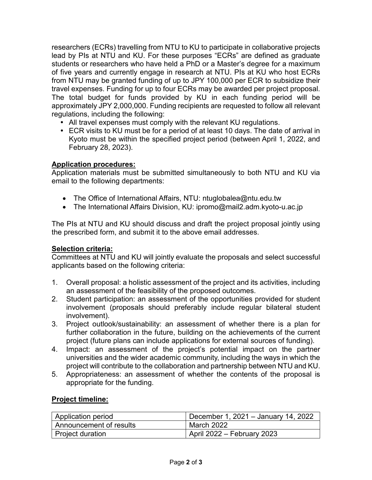researchers (ECRs) travelling from NTU to KU to participate in collaborative projects lead by PIs at NTU and KU. For these purposes "ECRs" are defined as graduate students or researchers who have held a PhD or a Master's degree for a maximum of five years and currently engage in research at NTU. PIs at KU who host ECRs from NTU may be granted funding of up to JPY 100,000 per ECR to subsidize their travel expenses. Funding for up to four ECRs may be awarded per project proposal. The total budget for funds provided by KU in each funding period will be approximately JPY 2,000,000. Funding recipients are requested to follow all relevant regulations, including the following:

- All travel expenses must comply with the relevant KU regulations.
- ECR visits to KU must be for a period of at least 10 days. The date of arrival in Kyoto must be within the specified project period (between April 1, 2022, and February 28, 2023).

## **Application procedures:**

Application materials must be submitted simultaneously to both NTU and KU via email to the following departments:

- The Office of International Affairs, NTU: ntuglobalea@ntu.edu.tw
- The International Affairs Division, KU: ipromo@mail2.adm.kyoto-u.ac.jp

The PIs at NTU and KU should discuss and draft the project proposal jointly using the prescribed form, and submit it to the above email addresses.

#### **Selection criteria:**

Committees at NTU and KU will jointly evaluate the proposals and select successful applicants based on the following criteria:

- 1. Overall proposal: a holistic assessment of the project and its activities, including an assessment of the feasibility of the proposed outcomes.
- 2. Student participation: an assessment of the opportunities provided for student involvement (proposals should preferably include regular bilateral student involvement).
- 3. Project outlook/sustainability: an assessment of whether there is a plan for further collaboration in the future, building on the achievements of the current project (future plans can include applications for external sources of funding).
- 4. Impact: an assessment of the project's potential impact on the partner universities and the wider academic community, including the ways in which the project will contribute to the collaboration and partnership between NTU and KU.
- 5. Appropriateness: an assessment of whether the contents of the proposal is appropriate for the funding.

#### **Project timeline:**

| Application period      | December 1, 2021 – January 14, 2022 |
|-------------------------|-------------------------------------|
| Announcement of results | March 2022                          |
| Project duration        | April 2022 – February 2023          |